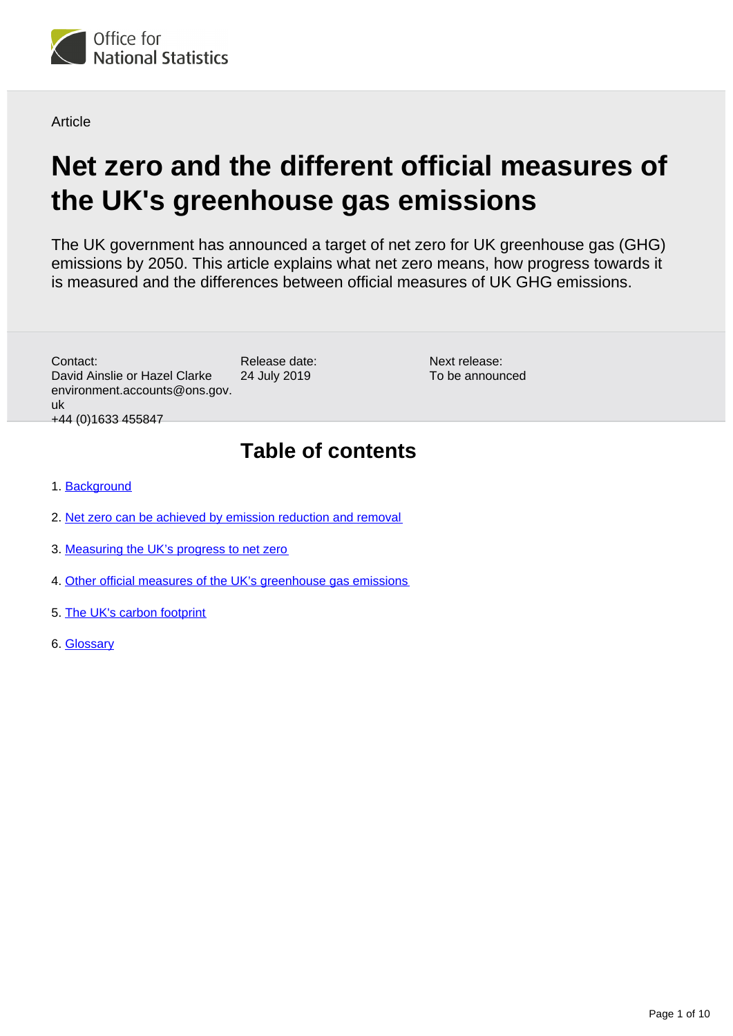

**Article** 

# **Net zero and the different official measures of the UK's greenhouse gas emissions**

The UK government has announced a target of net zero for UK greenhouse gas (GHG) emissions by 2050. This article explains what net zero means, how progress towards it is measured and the differences between official measures of UK GHG emissions.

> Next release: To be announced

Release date: 24 July 2019 Contact: David Ainslie or Hazel Clarke environment.accounts@ons.gov. uk +44 (0)1633 455847

## **Table of contents**

- 1. [Background](#page-1-0)
- 2. [Net zero can be achieved by emission reduction and removal](#page-1-1)
- 3. [Measuring the UK's progress to net zero](#page-2-0)
- 4. [Other official measures of the UK's greenhouse gas emissions](#page-3-0)
- 5. [The UK's carbon footprint](#page-5-0)
- 6. [Glossary](#page-7-0)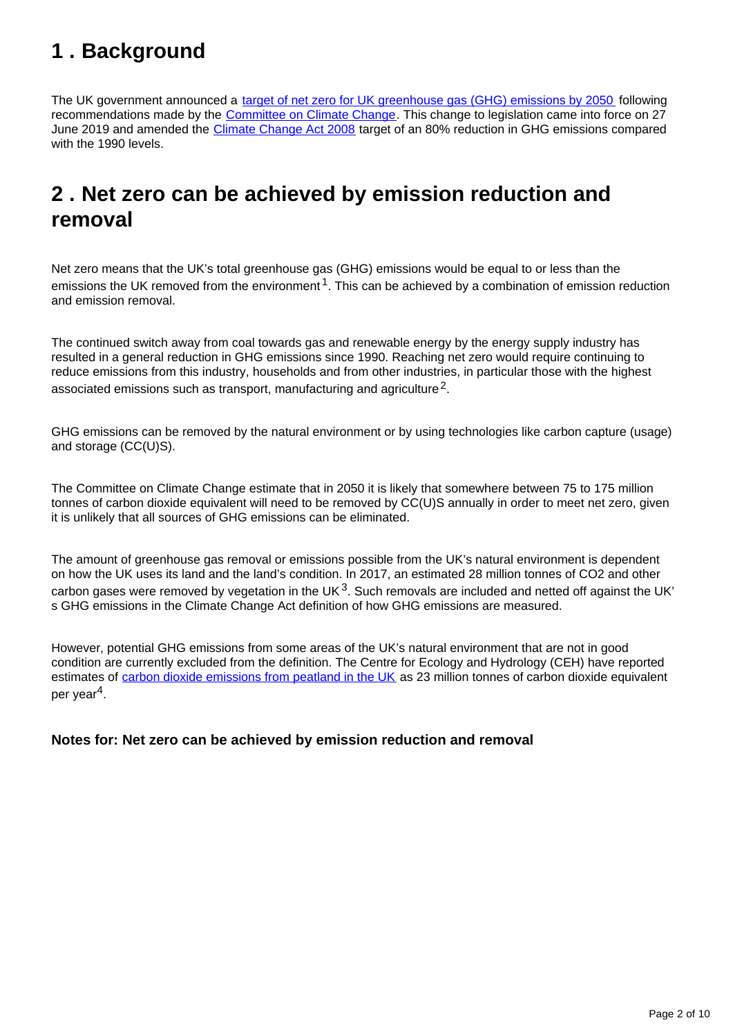## <span id="page-1-0"></span>**1 . Background**

The UK government announced a [target of net zero for UK greenhouse gas \(GHG\) emissions by 2050](https://www.gov.uk/government/news/uk-becomes-first-major-economy-to-pass-net-zero-emissions-law) following recommendations made by the [Committee on Climate Change](https://www.theccc.org.uk/publication/net-zero-the-uks-contribution-to-stopping-global-warming/). This change to legislation came into force on 27 June 2019 and amended the [Climate Change Act 2008](http://www.legislation.gov.uk/uksi/2019/1056/contents/made) target of an 80% reduction in GHG emissions compared with the 1990 levels.

## <span id="page-1-1"></span>**2 . Net zero can be achieved by emission reduction and removal**

Net zero means that the UK's total greenhouse gas (GHG) emissions would be equal to or less than the emissions the UK removed from the environment<sup>1</sup>. This can be achieved by a combination of emission reduction and emission removal.

The continued switch away from coal towards gas and renewable energy by the energy supply industry has resulted in a general reduction in GHG emissions since 1990. Reaching net zero would require continuing to reduce emissions from this industry, households and from other industries, in particular those with the highest associated emissions such as transport, manufacturing and agriculture<sup>2</sup>.

GHG emissions can be removed by the natural environment or by using technologies like carbon capture (usage) and storage (CC(U)S).

The Committee on Climate Change estimate that in 2050 it is likely that somewhere between 75 to 175 million tonnes of carbon dioxide equivalent will need to be removed by CC(U)S annually in order to meet net zero, given it is unlikely that all sources of GHG emissions can be eliminated.

The amount of greenhouse gas removal or emissions possible from the UK's natural environment is dependent on how the UK uses its land and the land's condition. In 2017, an estimated 28 million tonnes of CO2 and other carbon gases were removed by vegetation in the UK<sup>3</sup>. Such removals are included and netted off against the UK' s GHG emissions in the Climate Change Act definition of how GHG emissions are measured.

However, potential GHG emissions from some areas of the UK's natural environment that are not in good condition are currently excluded from the definition. The Centre for Ecology and Hydrology (CEH) have reported estimates of [carbon dioxide emissions from peatland in the UK](https://uk-air.defra.gov.uk/assets/documents/reports/cat07/1904111135_UK_peatland_GHG_emissions.pdf) as 23 million tonnes of carbon dioxide equivalent per year<sup>4</sup>.

#### **Notes for: Net zero can be achieved by emission reduction and removal**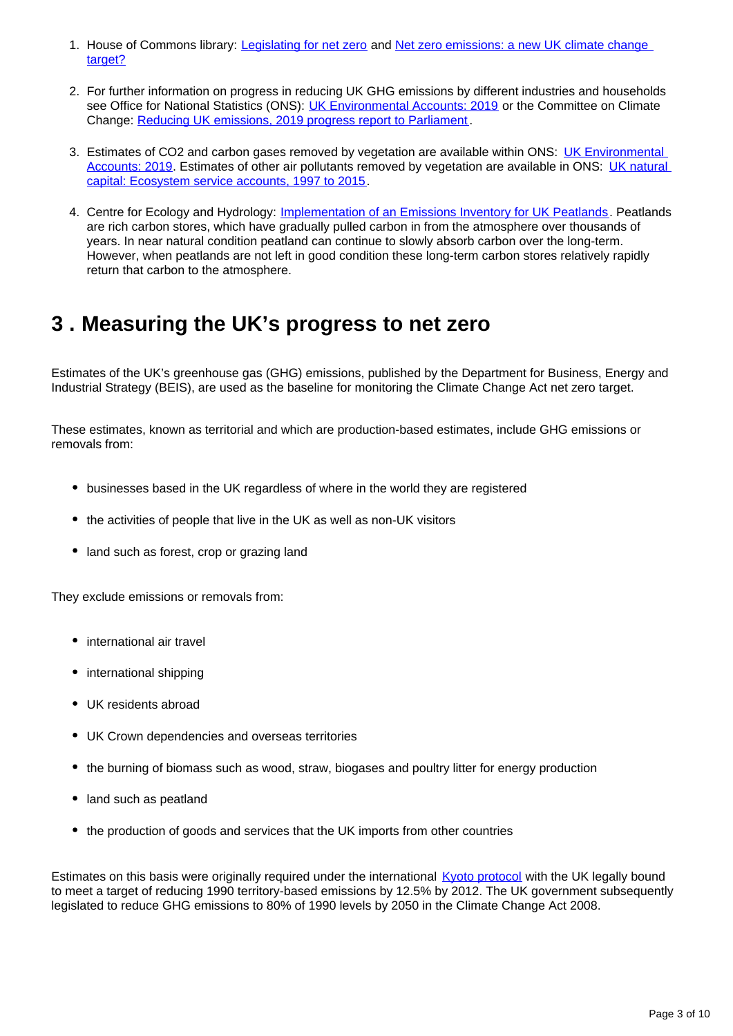- 1. House of Commons library: [Legislating for net zero](https://researchbriefings.parliament.uk/ResearchBriefing/Summary/CBP-8590) and Net zero emissions: a new UK climate change [target?](https://commonslibrary.parliament.uk/insights/net-zero-emissions-a-new-uk-climate-change-target/)
- 2. For further information on progress in reducing UK GHG emissions by different industries and households see Office for National Statistics (ONS): [UK Environmental Accounts: 2019](https://www.ons.gov.uk/economy/environmentalaccounts/bulletins/ukenvironmentalaccounts/2019) or the Committee on Climate Change: [Reducing UK emissions, 2019 progress report to Parliament](https://www.theccc.org.uk/publication/reducing-uk-emissions-2019-progress-report-to-parliament/) .
- 3. Estimates of CO2 and carbon gases removed by vegetation are available within ONS: UK Environmental [Accounts: 2019](https://www.ons.gov.uk/economy/environmentalaccounts/bulletins/ukenvironmentalaccounts/2019). Estimates of other air pollutants removed by vegetation are available in ONS: [UK natural](https://www.ons.gov.uk/economy/environmentalaccounts/bulletins/uknaturalcapital/ecosystemserviceaccounts1997to2015)  [capital: Ecosystem service accounts, 1997 to 2015.](https://www.ons.gov.uk/economy/environmentalaccounts/bulletins/uknaturalcapital/ecosystemserviceaccounts1997to2015)
- 4. Centre for Ecology and Hydrology: [Implementation of an Emissions Inventory for UK Peatlands](https://uk-air.defra.gov.uk/assets/documents/reports/cat07/1904111135_UK_peatland_GHG_emissions.pdf). Peatlands are rich carbon stores, which have gradually pulled carbon in from the atmosphere over thousands of years. In near natural condition peatland can continue to slowly absorb carbon over the long-term. However, when peatlands are not left in good condition these long-term carbon stores relatively rapidly return that carbon to the atmosphere.

## <span id="page-2-0"></span>**3 . Measuring the UK's progress to net zero**

Estimates of the UK's greenhouse gas (GHG) emissions, published by the Department for Business, Energy and Industrial Strategy (BEIS), are used as the baseline for monitoring the Climate Change Act net zero target.

These estimates, known as territorial and which are production-based estimates, include GHG emissions or removals from:

- businesses based in the UK regardless of where in the world they are registered
- the activities of people that live in the UK as well as non-UK visitors
- land such as forest, crop or grazing land

They exclude emissions or removals from:

- international air travel
- international shipping
- UK residents abroad
- UK Crown dependencies and overseas territories
- the burning of biomass such as wood, straw, biogases and poultry litter for energy production
- land such as peatland
- the production of goods and services that the UK imports from other countries

Estimates on this basis were originally required under the international [Kyoto protocol](http://unfccc.int/kyoto_protocol/items/2830.php) with the UK legally bound to meet a target of reducing 1990 territory-based emissions by 12.5% by 2012. The UK government subsequently legislated to reduce GHG emissions to 80% of 1990 levels by 2050 in the Climate Change Act 2008.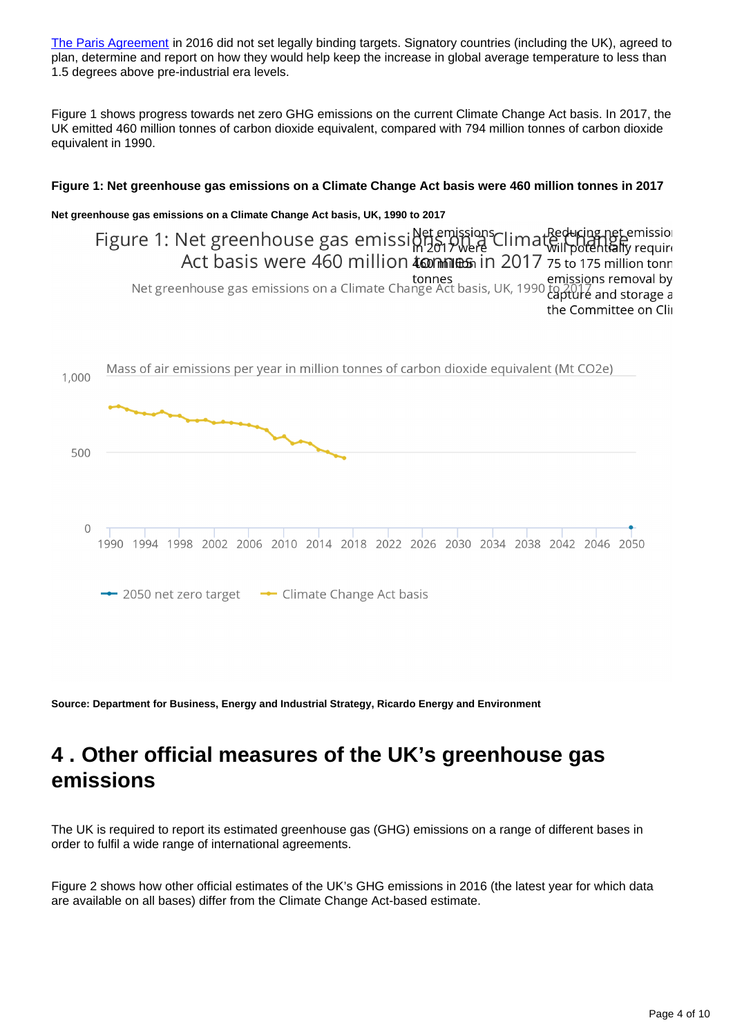[The Paris Agreement](https://unfccc.int/process-and-meetings/the-paris-agreement/the-paris-agreement) in 2016 did not set legally binding targets. Signatory countries (including the UK), agreed to plan, determine and report on how they would help keep the increase in global average temperature to less than 1.5 degrees above pre-industrial era levels.

Figure 1 shows progress towards net zero GHG emissions on the current Climate Change Act basis. In 2017, the UK emitted 460 million tonnes of carbon dioxide equivalent, compared with 794 million tonnes of carbon dioxide equivalent in 1990.

#### **Figure 1: Net greenhouse gas emissions on a Climate Change Act basis were 460 million tonnes in 2017**

#### **Net greenhouse gas emissions on a Climate Change Act basis, UK, 1990 to 2017**

Figure 1: Net greenhouse gas emissions Net emissions Climat Reducing net emission Act basis were 460 million **tommes** in 2017 75 to 175 million tonn emissions removal by<br>Net greenhouse gas emissions on a Climate Change Act basis, UK, 1990 to pold and storage a the Committee on Clii



**Source: Department for Business, Energy and Industrial Strategy, Ricardo Energy and Environment**

## <span id="page-3-0"></span>**4 . Other official measures of the UK's greenhouse gas emissions**

The UK is required to report its estimated greenhouse gas (GHG) emissions on a range of different bases in order to fulfil a wide range of international agreements.

Figure 2 shows how other official estimates of the UK's GHG emissions in 2016 (the latest year for which data are available on all bases) differ from the Climate Change Act-based estimate.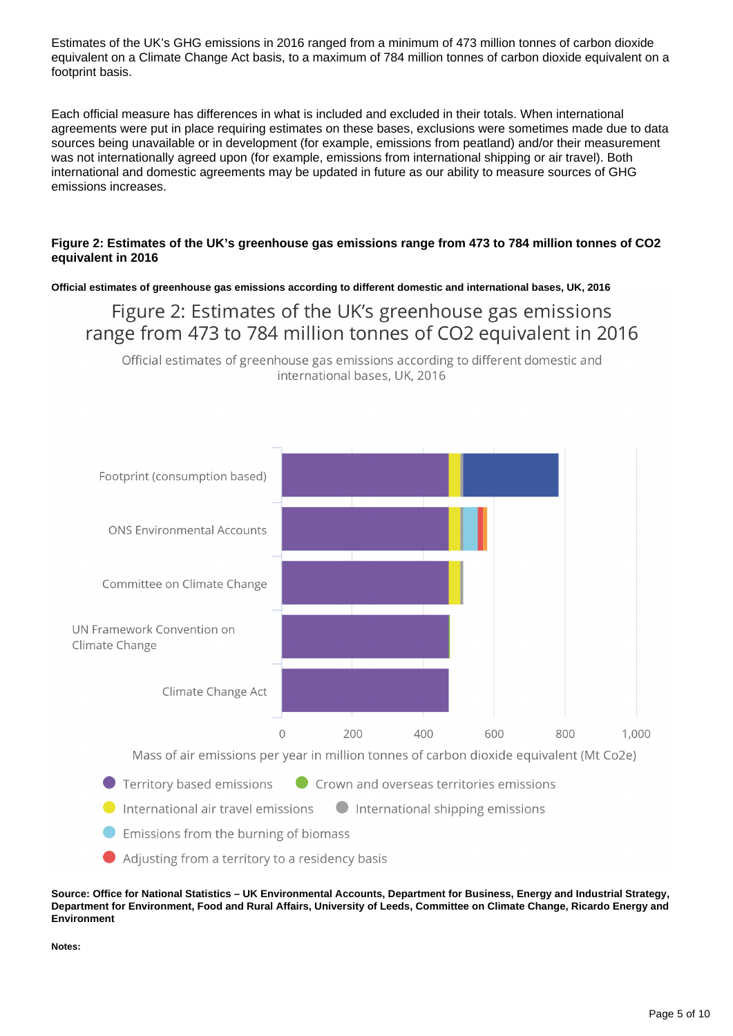Estimates of the UK's GHG emissions in 2016 ranged from a minimum of 473 million tonnes of carbon dioxide equivalent on a Climate Change Act basis, to a maximum of 784 million tonnes of carbon dioxide equivalent on a footprint basis.

Each official measure has differences in what is included and excluded in their totals. When international agreements were put in place requiring estimates on these bases, exclusions were sometimes made due to data sources being unavailable or in development (for example, emissions from peatland) and/or their measurement was not internationally agreed upon (for example, emissions from international shipping or air travel). Both international and domestic agreements may be updated in future as our ability to measure sources of GHG emissions increases.

#### **Figure 2: Estimates of the UK's greenhouse gas emissions range from 473 to 784 million tonnes of CO2 equivalent in 2016**

**Official estimates of greenhouse gas emissions according to different domestic and international bases, UK, 2016**

### Figure 2: Estimates of the UK's greenhouse gas emissions range from 473 to 784 million tonnes of CO2 equivalent in 2016

Official estimates of greenhouse gas emissions according to different domestic and international bases, UK, 2016



**Source: Office for National Statistics – UK Environmental Accounts, Department for Business, Energy and Industrial Strategy, Department for Environment, Food and Rural Affairs, University of Leeds, Committee on Climate Change, Ricardo Energy and Environment**

**Notes:**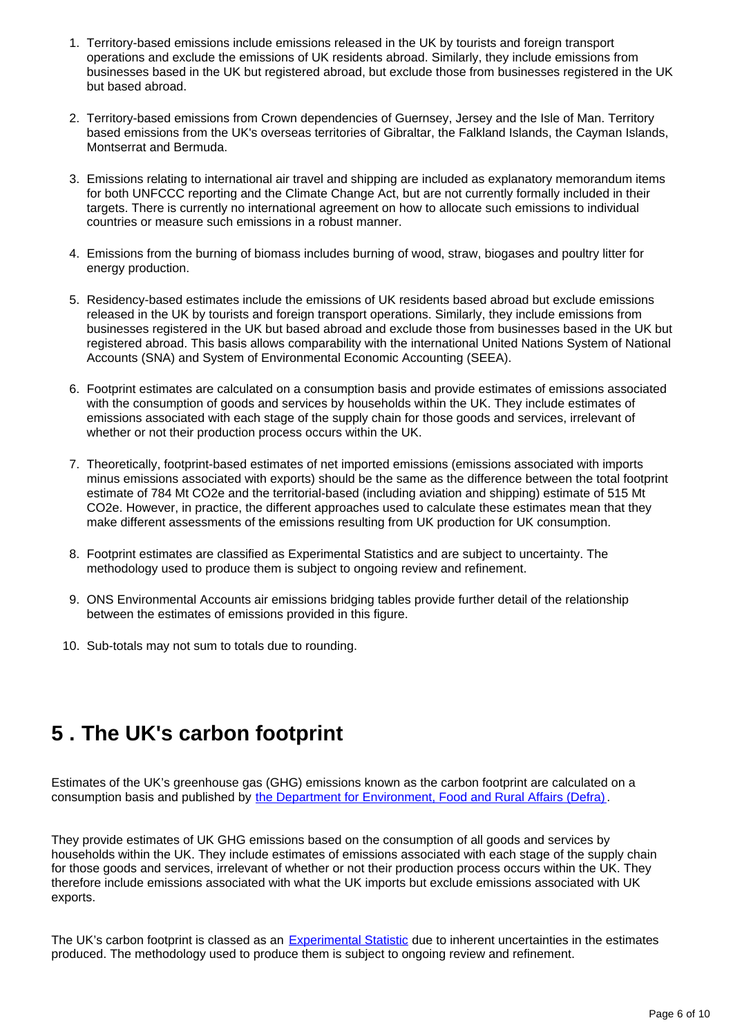- 1. Territory-based emissions include emissions released in the UK by tourists and foreign transport operations and exclude the emissions of UK residents abroad. Similarly, they include emissions from businesses based in the UK but registered abroad, but exclude those from businesses registered in the UK but based abroad.
- 2. Territory-based emissions from Crown dependencies of Guernsey, Jersey and the Isle of Man. Territory based emissions from the UK's overseas territories of Gibraltar, the Falkland Islands, the Cayman Islands, Montserrat and Bermuda.
- 3. Emissions relating to international air travel and shipping are included as explanatory memorandum items for both UNFCCC reporting and the Climate Change Act, but are not currently formally included in their targets. There is currently no international agreement on how to allocate such emissions to individual countries or measure such emissions in a robust manner.
- 4. Emissions from the burning of biomass includes burning of wood, straw, biogases and poultry litter for energy production.
- 5. Residency-based estimates include the emissions of UK residents based abroad but exclude emissions released in the UK by tourists and foreign transport operations. Similarly, they include emissions from businesses registered in the UK but based abroad and exclude those from businesses based in the UK but registered abroad. This basis allows comparability with the international United Nations System of National Accounts (SNA) and System of Environmental Economic Accounting (SEEA).
- 6. Footprint estimates are calculated on a consumption basis and provide estimates of emissions associated with the consumption of goods and services by households within the UK. They include estimates of emissions associated with each stage of the supply chain for those goods and services, irrelevant of whether or not their production process occurs within the UK.
- 7. Theoretically, footprint-based estimates of net imported emissions (emissions associated with imports minus emissions associated with exports) should be the same as the difference between the total footprint estimate of 784 Mt CO2e and the territorial-based (including aviation and shipping) estimate of 515 Mt CO2e. However, in practice, the different approaches used to calculate these estimates mean that they make different assessments of the emissions resulting from UK production for UK consumption.
- 8. Footprint estimates are classified as Experimental Statistics and are subject to uncertainty. The methodology used to produce them is subject to ongoing review and refinement.
- 9. ONS Environmental Accounts air emissions bridging tables provide further detail of the relationship between the estimates of emissions provided in this figure.
- 10. Sub-totals may not sum to totals due to rounding.

## <span id="page-5-0"></span>**5 . The UK's carbon footprint**

Estimates of the UK's greenhouse gas (GHG) emissions known as the carbon footprint are calculated on a consumption basis and published by [the Department for Environment, Food and Rural Affairs \(Defra\).](https://www.gov.uk/government/statistics/uks-carbon-footprint)

They provide estimates of UK GHG emissions based on the consumption of all goods and services by households within the UK. They include estimates of emissions associated with each stage of the supply chain for those goods and services, irrelevant of whether or not their production process occurs within the UK. They therefore include emissions associated with what the UK imports but exclude emissions associated with UK exports.

The UK's carbon footprint is classed as an [Experimental Statistic](https://www.ons.gov.uk/methodology/methodologytopicsandstatisticalconcepts/guidetoexperimentalstatistics) due to inherent uncertainties in the estimates produced. The methodology used to produce them is subject to ongoing review and refinement.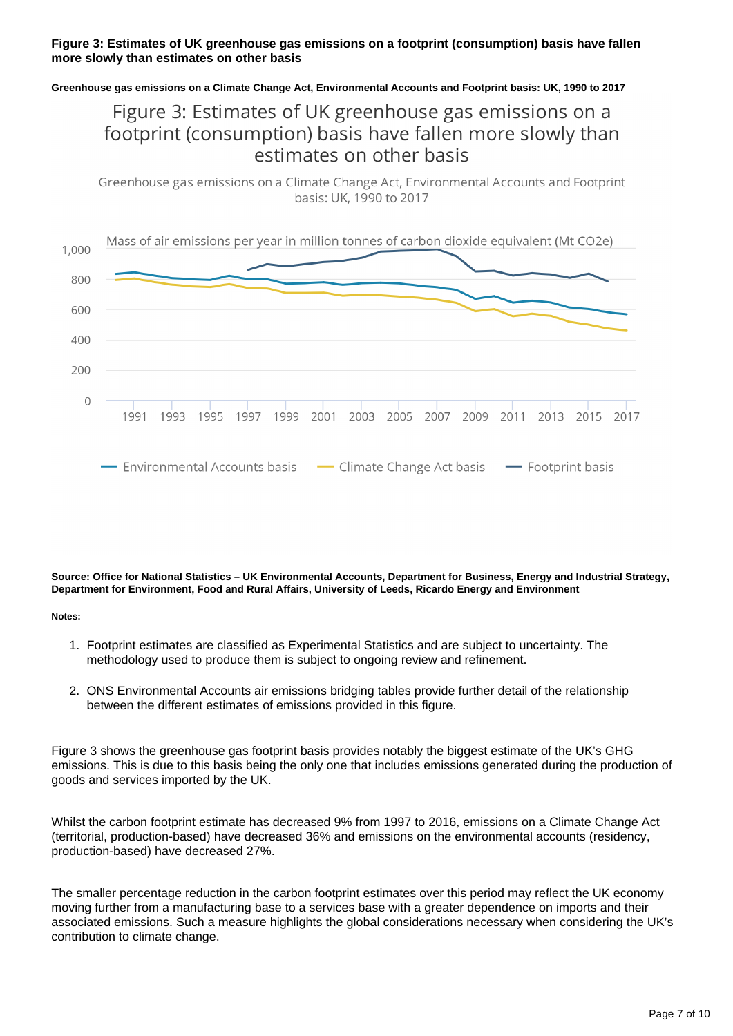#### **Figure 3: Estimates of UK greenhouse gas emissions on a footprint (consumption) basis have fallen more slowly than estimates on other basis**

**Greenhouse gas emissions on a Climate Change Act, Environmental Accounts and Footprint basis: UK, 1990 to 2017**

### Figure 3: Estimates of UK greenhouse gas emissions on a footprint (consumption) basis have fallen more slowly than estimates on other basis

Greenhouse gas emissions on a Climate Change Act, Environmental Accounts and Footprint basis: UK, 1990 to 2017



**Source: Office for National Statistics – UK Environmental Accounts, Department for Business, Energy and Industrial Strategy, Department for Environment, Food and Rural Affairs, University of Leeds, Ricardo Energy and Environment**

**Notes:**

- 1. Footprint estimates are classified as Experimental Statistics and are subject to uncertainty. The methodology used to produce them is subject to ongoing review and refinement.
- 2. ONS Environmental Accounts air emissions bridging tables provide further detail of the relationship between the different estimates of emissions provided in this figure.

Figure 3 shows the greenhouse gas footprint basis provides notably the biggest estimate of the UK's GHG emissions. This is due to this basis being the only one that includes emissions generated during the production of goods and services imported by the UK.

Whilst the carbon footprint estimate has decreased 9% from 1997 to 2016, emissions on a Climate Change Act (territorial, production-based) have decreased 36% and emissions on the environmental accounts (residency, production-based) have decreased 27%.

The smaller percentage reduction in the carbon footprint estimates over this period may reflect the UK economy moving further from a manufacturing base to a services base with a greater dependence on imports and their associated emissions. Such a measure highlights the global considerations necessary when considering the UK's contribution to climate change.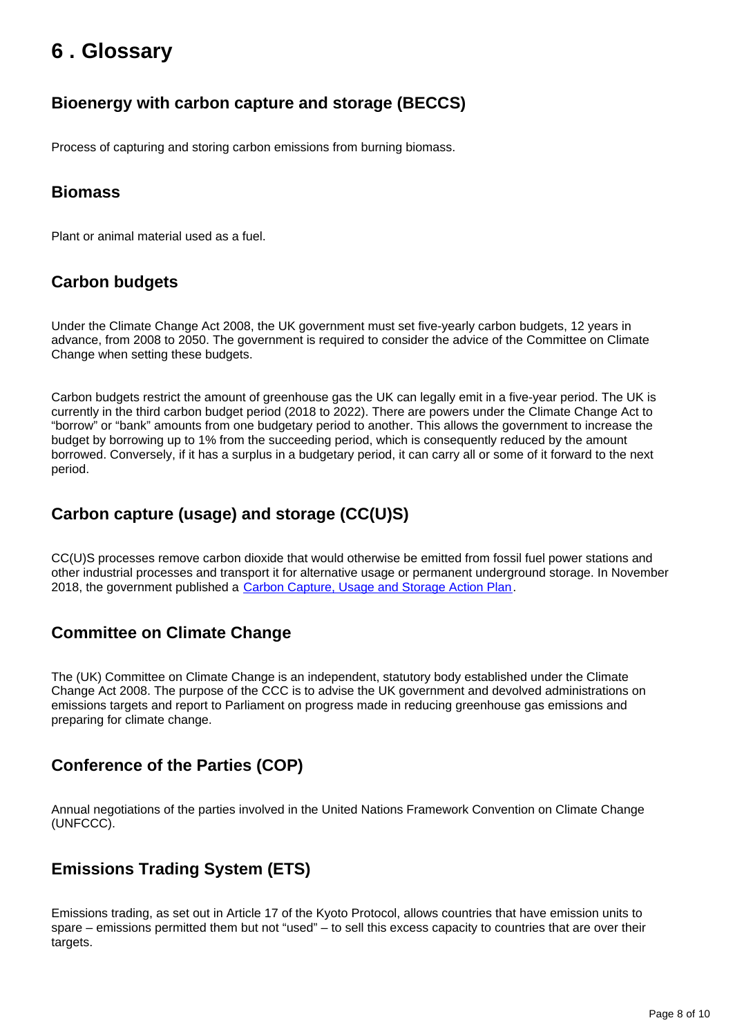## <span id="page-7-0"></span>**6 . Glossary**

### **Bioenergy with carbon capture and storage (BECCS)**

Process of capturing and storing carbon emissions from burning biomass.

#### **Biomass**

Plant or animal material used as a fuel.

#### **Carbon budgets**

Under the Climate Change Act 2008, the UK government must set five-yearly carbon budgets, 12 years in advance, from 2008 to 2050. The government is required to consider the advice of the Committee on Climate Change when setting these budgets.

Carbon budgets restrict the amount of greenhouse gas the UK can legally emit in a five-year period. The UK is currently in the third carbon budget period (2018 to 2022). There are powers under the Climate Change Act to "borrow" or "bank" amounts from one budgetary period to another. This allows the government to increase the budget by borrowing up to 1% from the succeeding period, which is consequently reduced by the amount borrowed. Conversely, if it has a surplus in a budgetary period, it can carry all or some of it forward to the next period.

#### **Carbon capture (usage) and storage (CC(U)S)**

CC(U)S processes remove carbon dioxide that would otherwise be emitted from fossil fuel power stations and other industrial processes and transport it for alternative usage or permanent underground storage. In November 2018, the government published a [Carbon Capture, Usage and Storage Action Plan.](https://www.gov.uk/government/publications/the-uk-carbon-capture-usage-and-storage-ccus-deployment-pathway-an-action-plan)

#### **Committee on Climate Change**

The (UK) Committee on Climate Change is an independent, statutory body established under the Climate Change Act 2008. The purpose of the CCC is to advise the UK government and devolved administrations on emissions targets and report to Parliament on progress made in reducing greenhouse gas emissions and preparing for climate change.

#### **Conference of the Parties (COP)**

Annual negotiations of the parties involved in the United Nations Framework Convention on Climate Change (UNFCCC).

#### **Emissions Trading System (ETS)**

Emissions trading, as set out in Article 17 of the Kyoto Protocol, allows countries that have emission units to spare – emissions permitted them but not "used" – to sell this excess capacity to countries that are over their targets.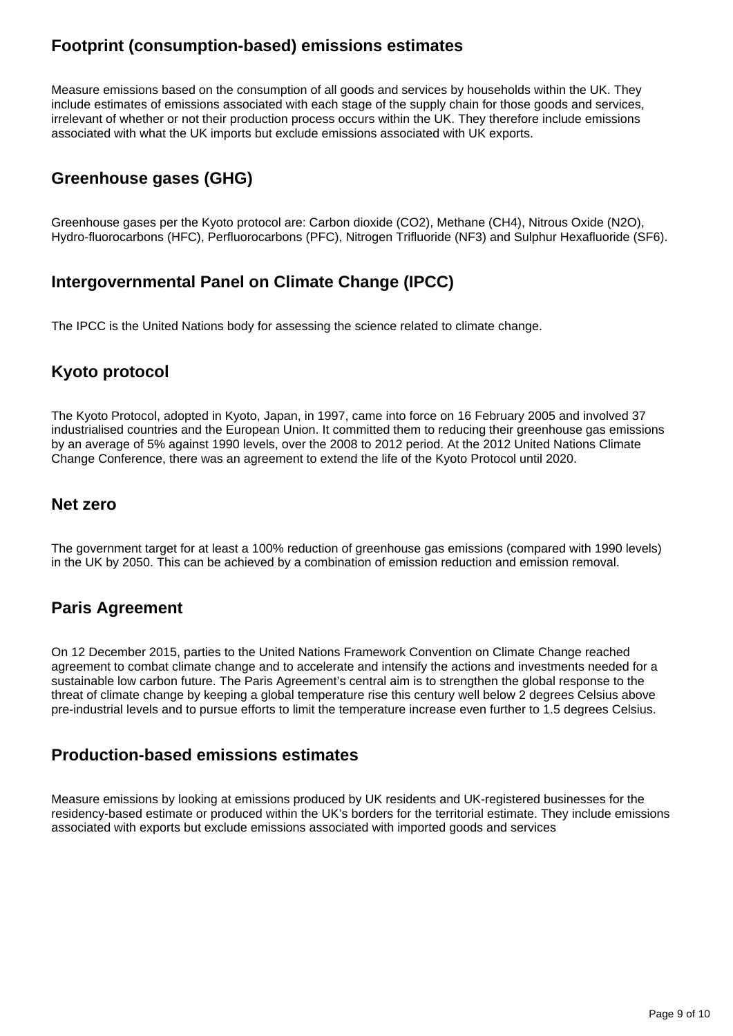### **Footprint (consumption-based) emissions estimates**

Measure emissions based on the consumption of all goods and services by households within the UK. They include estimates of emissions associated with each stage of the supply chain for those goods and services, irrelevant of whether or not their production process occurs within the UK. They therefore include emissions associated with what the UK imports but exclude emissions associated with UK exports.

### **Greenhouse gases (GHG)**

Greenhouse gases per the Kyoto protocol are: Carbon dioxide (CO2), Methane (CH4), Nitrous Oxide (N2O), Hydro-fluorocarbons (HFC), Perfluorocarbons (PFC), Nitrogen Trifluoride (NF3) and Sulphur Hexafluoride (SF6).

#### **Intergovernmental Panel on Climate Change (IPCC)**

The IPCC is the United Nations body for assessing the science related to climate change.

### **Kyoto protocol**

The Kyoto Protocol, adopted in Kyoto, Japan, in 1997, came into force on 16 February 2005 and involved 37 industrialised countries and the European Union. It committed them to reducing their greenhouse gas emissions by an average of 5% against 1990 levels, over the 2008 to 2012 period. At the 2012 United Nations Climate Change Conference, there was an agreement to extend the life of the Kyoto Protocol until 2020.

#### **Net zero**

The government target for at least a 100% reduction of greenhouse gas emissions (compared with 1990 levels) in the UK by 2050. This can be achieved by a combination of emission reduction and emission removal.

#### **Paris Agreement**

On 12 December 2015, parties to the United Nations Framework Convention on Climate Change reached agreement to combat climate change and to accelerate and intensify the actions and investments needed for a sustainable low carbon future. The Paris Agreement's central aim is to strengthen the global response to the threat of climate change by keeping a global temperature rise this century well below 2 degrees Celsius above pre-industrial levels and to pursue efforts to limit the temperature increase even further to 1.5 degrees Celsius.

#### **Production-based emissions estimates**

Measure emissions by looking at emissions produced by UK residents and UK-registered businesses for the residency-based estimate or produced within the UK's borders for the territorial estimate. They include emissions associated with exports but exclude emissions associated with imported goods and services